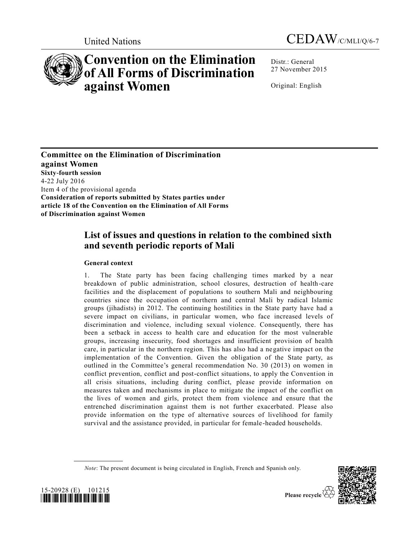



# **Convention on the Elimination of All Forms of Discrimination against Women**

Distr.: General 27 November 2015

Original: English

**Committee on the Elimination of Discrimination against Women Sixty-fourth session**  4-22 July 2016 Item 4 of the provisional agenda **Consideration of reports submitted by States parties under article 18 of the Convention on the Elimination of All Forms of Discrimination against Women**

## **List of issues and questions in relation to the combined sixth and seventh periodic reports of Mali**

### **General context**

1. The State party has been facing challenging times marked by a near breakdown of public administration, school closures, destruction of health-care facilities and the displacement of populations to southern Mali and neighbouring countries since the occupation of northern and central Mali by radical Islamic groups (jihadists) in 2012. The continuing hostilities in the State party have had a severe impact on civilians, in particular women, who face increased levels of discrimination and violence, including sexual violence. Consequently, there has been a setback in access to health care and education for the most vulnerable groups, increasing insecurity, food shortages and insufficient provision of health care, in particular in the northern region. This has also had a negative impact on the implementation of the Convention. Given the obligation of the State party, as outlined in the Committee's general recommendation No. 30 (2013) on women in conflict prevention, conflict and post-conflict situations, to apply the Convention in all crisis situations, including during conflict, please provide information on measures taken and mechanisms in place to mitigate the impact of the conflict on the lives of women and girls, protect them from violence and ensure that the entrenched discrimination against them is not further exacerbated. Please also provide information on the type of alternative sources of livelihood for family survival and the assistance provided, in particular for female -headed households.





*Note*: The present document is being circulated in English, French and Spanish only.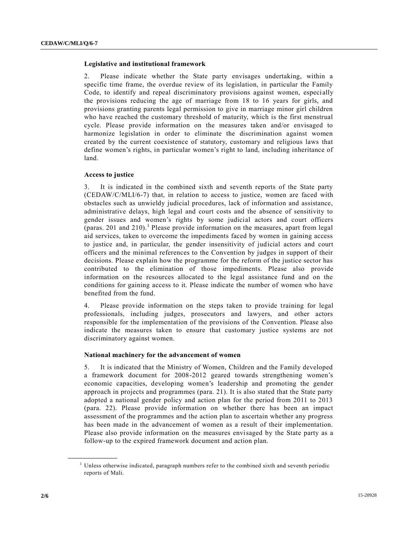#### **Legislative and institutional framework**

2. Please indicate whether the State party envisages undertaking, within a specific time frame, the overdue review of its legislation, in particular the Family Code, to identify and repeal discriminatory provisions against women, especially the provisions reducing the age of marriage from 18 to 16 years for girls, and provisions granting parents legal permission to give in marriage minor girl children who have reached the customary threshold of maturity, which is the first menstrual cycle. Please provide information on the measures taken and/or envisaged to harmonize legislation in order to eliminate the discrimination against women created by the current coexistence of statutory, customary and religious laws that define women's rights, in particular women's right to land, including inheritance of land.

#### **Access to justice**

3. It is indicated in the combined sixth and seventh reports of the State party [\(CEDAW/C/MLI/6-7\)](http://undocs.org/CEDAW/C/MLI/6) that, in relation to access to justice, women are faced with obstacles such as unwieldy judicial procedures, lack of information and assistance, administrative delays, high legal and court costs and the absence of sensitivity to gender issues and women's rights by some judicial actors and court officers (paras. 201 and 210).<sup>1</sup> Please provide information on the measures, apart from legal aid services, taken to overcome the impediments faced by women in gaining access to justice and, in particular, the gender insensitivity of judicial actors and court officers and the minimal references to the Convention by judges in support of their decisions. Please explain how the programme for the reform of the justice sector has contributed to the elimination of those impediments. Please also provide information on the resources allocated to the legal assistance fund and on the conditions for gaining access to it. Please indicate the number of women who have benefited from the fund.

4. Please provide information on the steps taken to provide training for legal professionals, including judges, prosecutors and lawyers, and other actors responsible for the implementation of the provisions of the Convention. Please also indicate the measures taken to ensure that customary justice systems are not discriminatory against women.

#### **National machinery for the advancement of women**

5. It is indicated that the Ministry of Women, Children and the Family developed a framework document for 2008-2012 geared towards strengthening women's economic capacities, developing women's leadership and promoting the gender approach in projects and programmes (para. 21). It is also stated that the State party adopted a national gender policy and action plan for the period from 2011 to 2013 (para. 22). Please provide information on whether there has been an impact assessment of the programmes and the action plan to ascertain whether any progress has been made in the advancement of women as a result of their implementation. Please also provide information on the measures envisaged by the State party as a follow-up to the expired framework document and action plan.

**\_\_\_\_\_\_\_\_\_\_\_\_\_\_\_\_\_\_**

 $1$  Unless otherwise indicated, paragraph numbers refer to the combined sixth and seventh periodic reports of Mali.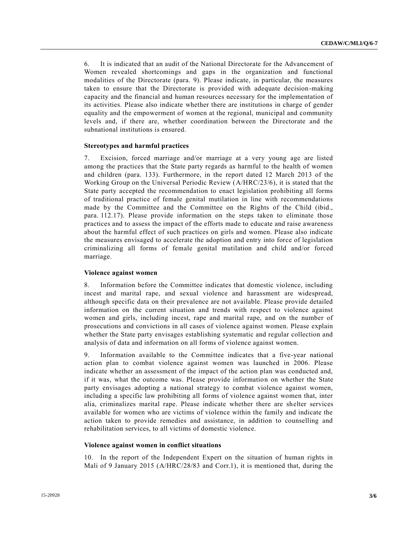6. It is indicated that an audit of the National Directorate for the Advancement of Women revealed shortcomings and gaps in the organization and functional modalities of the Directorate (para. 9). Please indicate, in particular, the measures taken to ensure that the Directorate is provided with adequate decision-making capacity and the financial and human resources necessary for the implementation of its activities. Please also indicate whether there are institutions in charge of gender equality and the empowerment of women at the regional, municipal and community levels and, if there are, whether coordination between the Directorate and the subnational institutions is ensured.

#### **Stereotypes and harmful practices**

7. Excision, forced marriage and/or marriage at a very young age are listed among the practices that the State party regards as harmful to the health of women and children (para. 133). Furthermore, in the report dated 12 March 2013 of the Working Group on the Universal Periodic Review [\(A/HRC/23/6\)](http://undocs.org/A/HRC/23/6), it is stated that the State party accepted the recommendation to enact legislation prohibiting all forms of traditional practice of female genital mutilation in line with recommendations made by the Committee and the Committee on the Rights of the Child (ibid., para. 112.17). Please provide information on the steps taken to eliminate those practices and to assess the impact of the efforts made to educate and raise awareness about the harmful effect of such practices on girls and women. Please also indicate the measures envisaged to accelerate the adoption and entry into force of legislation criminalizing all forms of female genital mutilation and child and/or forced marriage.

#### **Violence against women**

8. Information before the Committee indicates that domestic violence, including incest and marital rape, and sexual violence and harassment are widespread, although specific data on their prevalence are not available. Please provide detailed information on the current situation and trends with respect to violence against women and girls, including incest, rape and marital rape, and on the number of prosecutions and convictions in all cases of violence against women. Please explain whether the State party envisages establishing systematic and regular collection and analysis of data and information on all forms of violence against women.

9. Information available to the Committee indicates that a five-year national action plan to combat violence against women was launched in 2006. Please indicate whether an assessment of the impact of the action plan was conducted and, if it was, what the outcome was. Please provide information on whether the State party envisages adopting a national strategy to combat violence against women, including a specific law prohibiting all forms of violence against women that, inter alia, criminalizes marital rape. Please indicate whether there are shelter services available for women who are victims of violence within the family and indicate the action taken to provide remedies and assistance, in addition to counselling and rehabilitation services, to all victims of domestic violence.

#### **Violence against women in conflict situations**

10. In the report of the Independent Expert on the situation of human rights in Mali of 9 January 2015 [\(A/HRC/28/83](http://undocs.org/A/HRC/28/83) and Corr.1), it is mentioned that, during the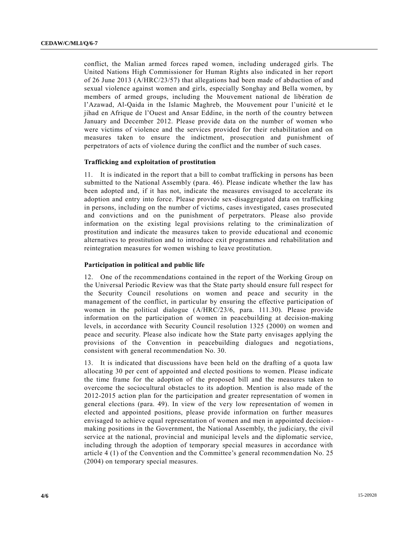conflict, the Malian armed forces raped women, including underaged girls. The United Nations High Commissioner for Human Rights also indicated in her report of 26 June 2013 [\(A/HRC/23/57\)](http://undocs.org/A/HRC/23/57) that allegations had been made of abduction of and sexual violence against women and girls, especially Songhay and Bella women, by members of armed groups, including the Mouvement national de libération de l'Azawad, Al-Qaida in the Islamic Maghreb, the Mouvement pour l'unicité et le jihad en Afrique de l'Ouest and Ansar Eddine, in the north of the country between January and December 2012. Please provide data on the number of women who were victims of violence and the services provided for their rehabilitation and on measures taken to ensure the indictment, prosecution and punishment of perpetrators of acts of violence during the conflict and the number of such cases.

#### **Trafficking and exploitation of prostitution**

11. It is indicated in the report that a bill to combat trafficking in persons has been submitted to the National Assembly (para. 46). Please indicate whether the law has been adopted and, if it has not, indicate the measures envisaged to accelerate its adoption and entry into force. Please provide sex-disaggregated data on trafficking in persons, including on the number of victims, cases investigated, cases prosecuted and convictions and on the punishment of perpetrators. Please also provide information on the existing legal provisions relating to the criminalization of prostitution and indicate the measures taken to provide educational and economic alternatives to prostitution and to introduce exit programmes and rehabilitation and reintegration measures for women wishing to leave prostitution.

#### **Participation in political and public life**

12. One of the recommendations contained in the report of the Working Group on the Universal Periodic Review was that the State party should ensure full respect for the Security Council resolutions on women and peace and security in the management of the conflict, in particular by ensuring the effective participation of women in the political dialogue [\(A/HRC/23/6,](http://undocs.org/A/HRC/23/6) para. 111.30). Please provide information on the participation of women in peacebuilding at decision-making levels, in accordance with Security Council resolution 1325 (2000) on women and peace and security. Please also indicate how the State party envisages applying the provisions of the Convention in peacebuilding dialogues and negotiations, consistent with general recommendation No. 30.

13. It is indicated that discussions have been held on the drafting of a quota law allocating 30 per cent of appointed and elected positions to women. Please indicate the time frame for the adoption of the proposed bill and the measures taken to overcome the sociocultural obstacles to its adoption. Mention is also made of the 2012-2015 action plan for the participation and greater representation of women in general elections (para. 49). In view of the very low representation of women in elected and appointed positions, please provide information on further measures envisaged to achieve equal representation of women and men in appointed decision making positions in the Government, the National Assembly, the judiciary, the civil service at the national, provincial and municipal levels and the diplomatic service, including through the adoption of temporary special measures in accordance with article 4 (1) of the Convention and the Committee's general recommendation No. 25 (2004) on temporary special measures.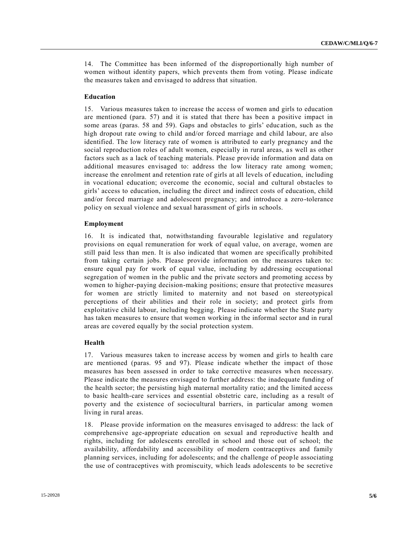14. The Committee has been informed of the disproportionally high number of women without identity papers, which prevents them from voting. Please indicate the measures taken and envisaged to address that situation.

#### **Education**

15. Various measures taken to increase the access of women and girls to education are mentioned (para. 57) and it is stated that there has been a positive impact in some areas (paras. 58 and 59). Gaps and obstacles to girls' education, such as the high dropout rate owing to child and/or forced marriage and child labour, are also identified. The low literacy rate of women is attributed to early pregnancy and the social reproduction roles of adult women, especially in rural areas, as well as other factors such as a lack of teaching materials. Please provide information and data on additional measures envisaged to: address the low literacy rate among women; increase the enrolment and retention rate of girls at all levels of education, including in vocational education; overcome the economic, social and cultural obstacles to girls' access to education, including the direct and indirect costs of education, child and/or forced marriage and adolescent pregnancy; and introduce a zero-tolerance policy on sexual violence and sexual harassment of girls in schools.

#### **Employment**

16. It is indicated that, notwithstanding favourable legislative and regulatory provisions on equal remuneration for work of equal value, on average, women are still paid less than men. It is also indicated that women are specifically prohibited from taking certain jobs. Please provide information on the measures taken to: ensure equal pay for work of equal value, including by addressing occupational segregation of women in the public and the private sectors and promoting access by women to higher-paying decision-making positions; ensure that protective measures for women are strictly limited to maternity and not based on stereotypical perceptions of their abilities and their role in society; and protect girls from exploitative child labour, including begging. Please indicate whether the State party has taken measures to ensure that women working in the informal sector and in rural areas are covered equally by the social protection system.

#### **Health**

17. Various measures taken to increase access by women and girls to health care are mentioned (paras. 95 and 97). Please indicate whether the impact of those measures has been assessed in order to take corrective measures when necessary. Please indicate the measures envisaged to further address: the inadequate funding of the health sector; the persisting high maternal mortality ratio; and the limited access to basic health-care services and essential obstetric care, including as a result of poverty and the existence of sociocultural barriers, in particular among women living in rural areas.

18. Please provide information on the measures envisaged to address: the lack of comprehensive age-appropriate education on sexual and reproductive health and rights, including for adolescents enrolled in school and those out of school; the availability, affordability and accessibility of modern contraceptives and family planning services, including for adolescents; and the challenge of people associating the use of contraceptives with promiscuity, which leads adolescents to be secretive